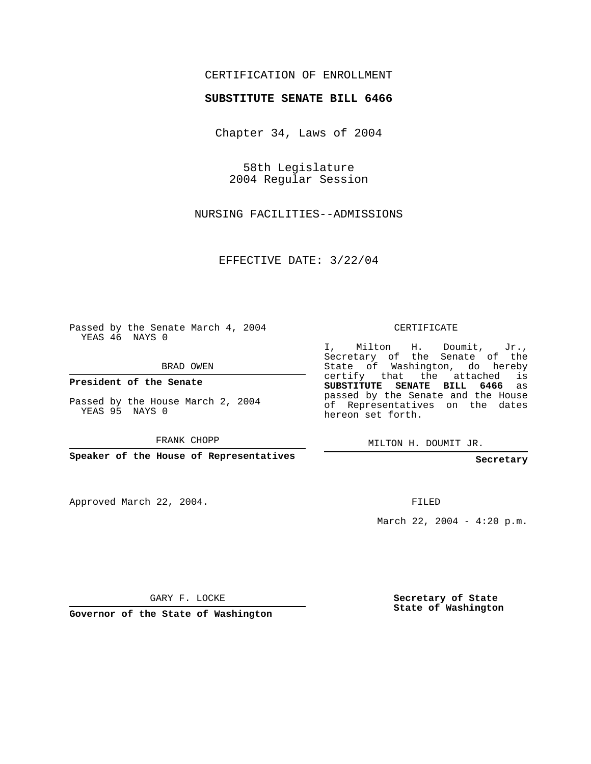## CERTIFICATION OF ENROLLMENT

## **SUBSTITUTE SENATE BILL 6466**

Chapter 34, Laws of 2004

58th Legislature 2004 Regular Session

NURSING FACILITIES--ADMISSIONS

EFFECTIVE DATE: 3/22/04

Passed by the Senate March 4, 2004 YEAS 46 NAYS 0

BRAD OWEN

**President of the Senate**

Passed by the House March 2, 2004 YEAS 95 NAYS 0

FRANK CHOPP

**Speaker of the House of Representatives**

Approved March 22, 2004.

CERTIFICATE

I, Milton H. Doumit, Jr., Secretary of the Senate of the State of Washington, do hereby certify that the attached is **SUBSTITUTE SENATE BILL 6466** as passed by the Senate and the House of Representatives on the dates hereon set forth.

MILTON H. DOUMIT JR.

**Secretary**

FILED

March 22, 2004 - 4:20 p.m.

GARY F. LOCKE

**Governor of the State of Washington**

**Secretary of State State of Washington**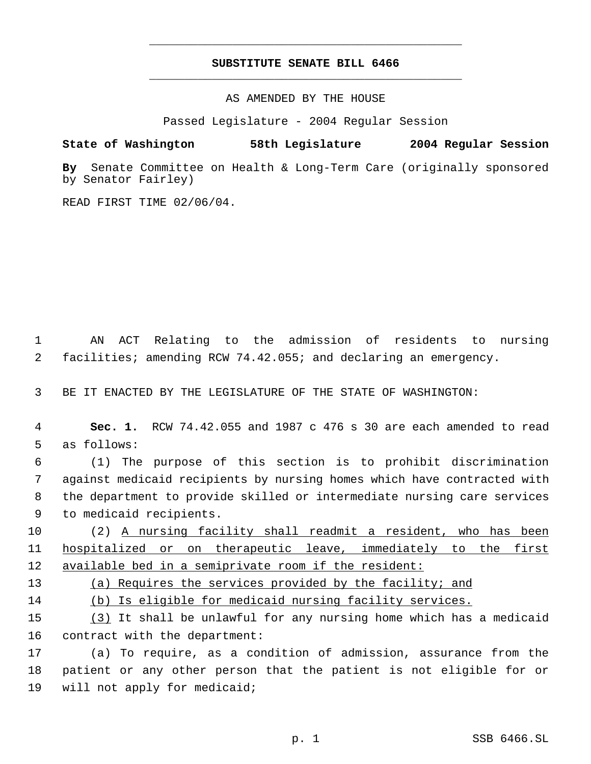## **SUBSTITUTE SENATE BILL 6466** \_\_\_\_\_\_\_\_\_\_\_\_\_\_\_\_\_\_\_\_\_\_\_\_\_\_\_\_\_\_\_\_\_\_\_\_\_\_\_\_\_\_\_\_\_

\_\_\_\_\_\_\_\_\_\_\_\_\_\_\_\_\_\_\_\_\_\_\_\_\_\_\_\_\_\_\_\_\_\_\_\_\_\_\_\_\_\_\_\_\_

AS AMENDED BY THE HOUSE

Passed Legislature - 2004 Regular Session

## **State of Washington 58th Legislature 2004 Regular Session**

**By** Senate Committee on Health & Long-Term Care (originally sponsored by Senator Fairley)

READ FIRST TIME 02/06/04.

 1 AN ACT Relating to the admission of residents to nursing 2 facilities; amending RCW 74.42.055; and declaring an emergency.

3 BE IT ENACTED BY THE LEGISLATURE OF THE STATE OF WASHINGTON:

 4 **Sec. 1.** RCW 74.42.055 and 1987 c 476 s 30 are each amended to read 5 as follows:

 (1) The purpose of this section is to prohibit discrimination against medicaid recipients by nursing homes which have contracted with the department to provide skilled or intermediate nursing care services to medicaid recipients.

10 (2) A nursing facility shall readmit a resident, who has been 11 hospitalized or on therapeutic leave, immediately to the first 12 available bed in a semiprivate room if the resident:

13 (a) Requires the services provided by the facility; and

14 (b) Is eligible for medicaid nursing facility services.

15 (3) It shall be unlawful for any nursing home which has a medicaid 16 contract with the department:

17 (a) To require, as a condition of admission, assurance from the 18 patient or any other person that the patient is not eligible for or 19 will not apply for medicaid;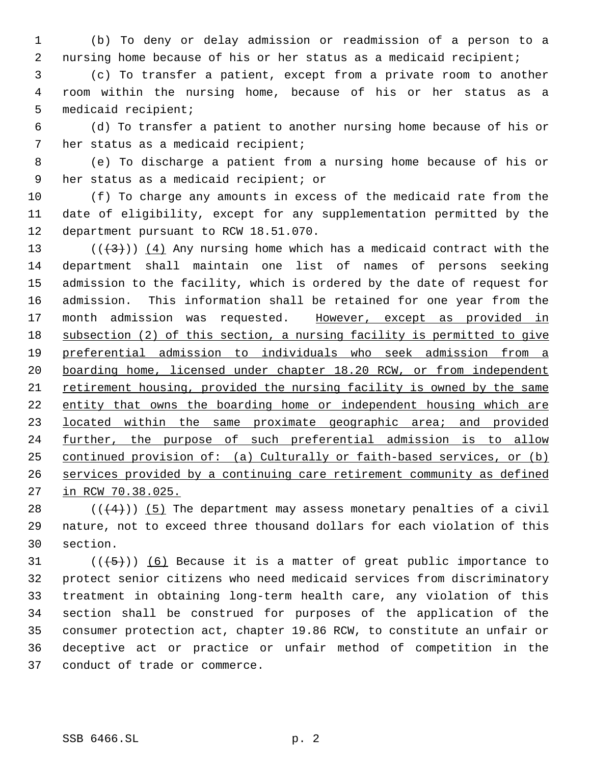(b) To deny or delay admission or readmission of a person to a nursing home because of his or her status as a medicaid recipient;

 (c) To transfer a patient, except from a private room to another room within the nursing home, because of his or her status as a medicaid recipient;

 (d) To transfer a patient to another nursing home because of his or her status as a medicaid recipient;

 (e) To discharge a patient from a nursing home because of his or her status as a medicaid recipient; or

 (f) To charge any amounts in excess of the medicaid rate from the date of eligibility, except for any supplementation permitted by the department pursuant to RCW 18.51.070.

13 ( $(\frac{43}{})$ ) (4) Any nursing home which has a medicaid contract with the department shall maintain one list of names of persons seeking admission to the facility, which is ordered by the date of request for admission. This information shall be retained for one year from the 17 month admission was requested. However, except as provided in subsection (2) of this section, a nursing facility is permitted to give preferential admission to individuals who seek admission from a boarding home, licensed under chapter 18.20 RCW, or from independent retirement housing, provided the nursing facility is owned by the same 22 entity that owns the boarding home or independent housing which are 23 located within the same proximate geographic area; and provided 24 <u>further, the purpose of such preferential admission is to allow</u> continued provision of: (a) Culturally or faith-based services, or (b) services provided by a continuing care retirement community as defined in RCW 70.38.025.

28  $((+4))$  (5) The department may assess monetary penalties of a civil nature, not to exceed three thousand dollars for each violation of this section.

31 ( $(\overline{\{5\}})$ ) (6) Because it is a matter of great public importance to protect senior citizens who need medicaid services from discriminatory treatment in obtaining long-term health care, any violation of this section shall be construed for purposes of the application of the consumer protection act, chapter 19.86 RCW, to constitute an unfair or deceptive act or practice or unfair method of competition in the conduct of trade or commerce.